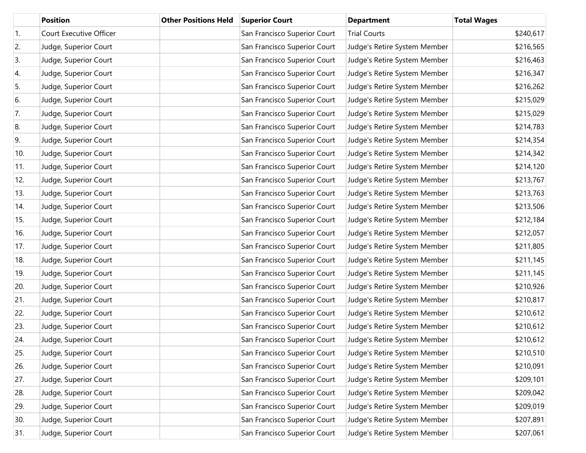|     | <b>Position</b>         | <b>Other Positions Held</b> | <b>Superior Court</b>        | <b>Department</b>            | <b>Total Wages</b> |
|-----|-------------------------|-----------------------------|------------------------------|------------------------------|--------------------|
| 1.  | Court Executive Officer |                             | San Francisco Superior Court | <b>Trial Courts</b>          | \$240,617          |
| 2.  | Judge, Superior Court   |                             | San Francisco Superior Court | Judge's Retire System Member | \$216,565          |
| 3.  | Judge, Superior Court   |                             | San Francisco Superior Court | Judge's Retire System Member | \$216,463          |
| 4.  | Judge, Superior Court   |                             | San Francisco Superior Court | Judge's Retire System Member | \$216,347          |
| 5.  | Judge, Superior Court   |                             | San Francisco Superior Court | Judge's Retire System Member | \$216,262          |
| 6.  | Judge, Superior Court   |                             | San Francisco Superior Court | Judge's Retire System Member | \$215,029          |
| 7.  | Judge, Superior Court   |                             | San Francisco Superior Court | Judge's Retire System Member | \$215,029          |
| 8.  | Judge, Superior Court   |                             | San Francisco Superior Court | Judge's Retire System Member | \$214,783          |
| 9.  | Judge, Superior Court   |                             | San Francisco Superior Court | Judge's Retire System Member | \$214,354          |
| 10. | Judge, Superior Court   |                             | San Francisco Superior Court | Judge's Retire System Member | \$214,342          |
| 11. | Judge, Superior Court   |                             | San Francisco Superior Court | Judge's Retire System Member | \$214,120          |
| 12. | Judge, Superior Court   |                             | San Francisco Superior Court | Judge's Retire System Member | \$213,767          |
| 13. | Judge, Superior Court   |                             | San Francisco Superior Court | Judge's Retire System Member | \$213,763          |
| 14. | Judge, Superior Court   |                             | San Francisco Superior Court | Judge's Retire System Member | \$213,506          |
| 15. | Judge, Superior Court   |                             | San Francisco Superior Court | Judge's Retire System Member | \$212,184          |
| 16. | Judge, Superior Court   |                             | San Francisco Superior Court | Judge's Retire System Member | \$212,057          |
| 17. | Judge, Superior Court   |                             | San Francisco Superior Court | Judge's Retire System Member | \$211,805          |
| 18. | Judge, Superior Court   |                             | San Francisco Superior Court | Judge's Retire System Member | \$211,145          |
| 19. | Judge, Superior Court   |                             | San Francisco Superior Court | Judge's Retire System Member | \$211,145          |
| 20. | Judge, Superior Court   |                             | San Francisco Superior Court | Judge's Retire System Member | \$210,926          |
| 21. | Judge, Superior Court   |                             | San Francisco Superior Court | Judge's Retire System Member | \$210,817          |
| 22. | Judge, Superior Court   |                             | San Francisco Superior Court | Judge's Retire System Member | \$210,612          |
| 23. | Judge, Superior Court   |                             | San Francisco Superior Court | Judge's Retire System Member | \$210,612          |
| 24. | Judge, Superior Court   |                             | San Francisco Superior Court | Judge's Retire System Member | \$210,612          |
| 25. | Judge, Superior Court   |                             | San Francisco Superior Court | Judge's Retire System Member | \$210,510          |
| 26. | Judge, Superior Court   |                             | San Francisco Superior Court | Judge's Retire System Member | \$210,091          |
| 27. | Judge, Superior Court   |                             | San Francisco Superior Court | Judge's Retire System Member | \$209,101          |
| 28. | Judge, Superior Court   |                             | San Francisco Superior Court | Judge's Retire System Member | \$209,042          |
| 29. | Judge, Superior Court   |                             | San Francisco Superior Court | Judge's Retire System Member | \$209,019          |
| 30. | Judge, Superior Court   |                             | San Francisco Superior Court | Judge's Retire System Member | \$207,891          |
| 31. | Judge, Superior Court   |                             | San Francisco Superior Court | Judge's Retire System Member | \$207,061          |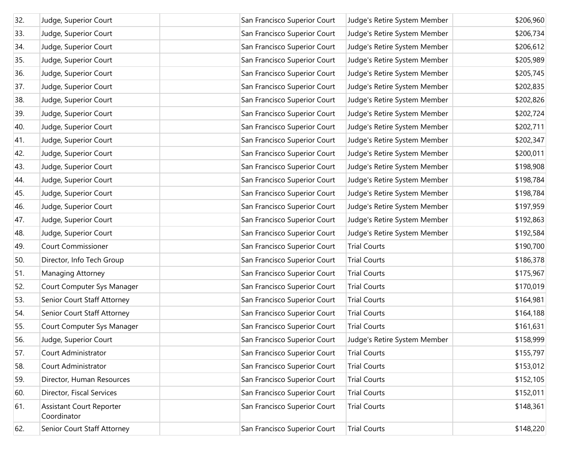| 32. | Judge, Superior Court                          | San Francisco Superior Court | Judge's Retire System Member | \$206,960 |
|-----|------------------------------------------------|------------------------------|------------------------------|-----------|
| 33. | Judge, Superior Court                          | San Francisco Superior Court | Judge's Retire System Member | \$206,734 |
| 34. | Judge, Superior Court                          | San Francisco Superior Court | Judge's Retire System Member | \$206,612 |
| 35. | Judge, Superior Court                          | San Francisco Superior Court | Judge's Retire System Member | \$205,989 |
| 36. | Judge, Superior Court                          | San Francisco Superior Court | Judge's Retire System Member | \$205,745 |
| 37. | Judge, Superior Court                          | San Francisco Superior Court | Judge's Retire System Member | \$202,835 |
| 38. | Judge, Superior Court                          | San Francisco Superior Court | Judge's Retire System Member | \$202,826 |
| 39. | Judge, Superior Court                          | San Francisco Superior Court | Judge's Retire System Member | \$202,724 |
| 40. | Judge, Superior Court                          | San Francisco Superior Court | Judge's Retire System Member | \$202,711 |
| 41. | Judge, Superior Court                          | San Francisco Superior Court | Judge's Retire System Member | \$202,347 |
| 42. | Judge, Superior Court                          | San Francisco Superior Court | Judge's Retire System Member | \$200,011 |
| 43. | Judge, Superior Court                          | San Francisco Superior Court | Judge's Retire System Member | \$198,908 |
| 44. | Judge, Superior Court                          | San Francisco Superior Court | Judge's Retire System Member | \$198,784 |
| 45. | Judge, Superior Court                          | San Francisco Superior Court | Judge's Retire System Member | \$198,784 |
| 46. | Judge, Superior Court                          | San Francisco Superior Court | Judge's Retire System Member | \$197,959 |
| 47. | Judge, Superior Court                          | San Francisco Superior Court | Judge's Retire System Member | \$192,863 |
| 48. | Judge, Superior Court                          | San Francisco Superior Court | Judge's Retire System Member | \$192,584 |
| 49. | <b>Court Commissioner</b>                      | San Francisco Superior Court | <b>Trial Courts</b>          | \$190,700 |
| 50. | Director, Info Tech Group                      | San Francisco Superior Court | <b>Trial Courts</b>          | \$186,378 |
| 51. | Managing Attorney                              | San Francisco Superior Court | <b>Trial Courts</b>          | \$175,967 |
| 52. | Court Computer Sys Manager                     | San Francisco Superior Court | <b>Trial Courts</b>          | \$170,019 |
| 53. | Senior Court Staff Attorney                    | San Francisco Superior Court | <b>Trial Courts</b>          | \$164,981 |
| 54. | Senior Court Staff Attorney                    | San Francisco Superior Court | <b>Trial Courts</b>          | \$164,188 |
| 55. | Court Computer Sys Manager                     | San Francisco Superior Court | <b>Trial Courts</b>          | \$161,631 |
| 56. | Judge, Superior Court                          | San Francisco Superior Court | Judge's Retire System Member | \$158,999 |
| 57. | Court Administrator                            | San Francisco Superior Court | <b>Trial Courts</b>          | \$155,797 |
| 58. | Court Administrator                            | San Francisco Superior Court | <b>Trial Courts</b>          | \$153,012 |
| 59. | Director, Human Resources                      | San Francisco Superior Court | <b>Trial Courts</b>          | \$152,105 |
| 60. | Director, Fiscal Services                      | San Francisco Superior Court | <b>Trial Courts</b>          | \$152,011 |
| 61. | <b>Assistant Court Reporter</b><br>Coordinator | San Francisco Superior Court | <b>Trial Courts</b>          | \$148,361 |
| 62. | Senior Court Staff Attorney                    | San Francisco Superior Court | <b>Trial Courts</b>          | \$148,220 |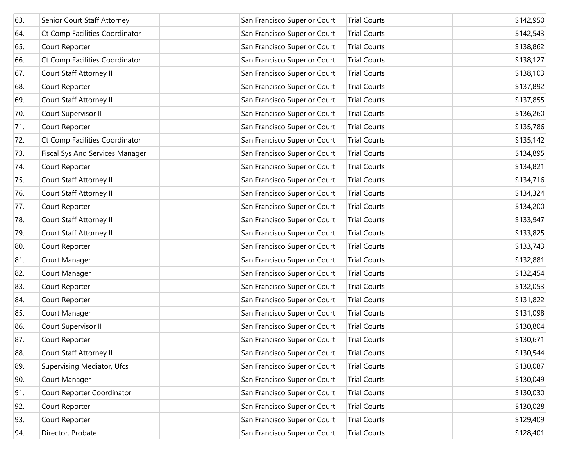| 63. | Senior Court Staff Attorney       | San Francisco Superior Court | <b>Trial Courts</b> | \$142,950 |
|-----|-----------------------------------|------------------------------|---------------------|-----------|
| 64. | Ct Comp Facilities Coordinator    | San Francisco Superior Court | <b>Trial Courts</b> | \$142,543 |
| 65. | Court Reporter                    | San Francisco Superior Court | <b>Trial Courts</b> | \$138,862 |
| 66. | Ct Comp Facilities Coordinator    | San Francisco Superior Court | <b>Trial Courts</b> | \$138,127 |
| 67. | Court Staff Attorney II           | San Francisco Superior Court | <b>Trial Courts</b> | \$138,103 |
| 68. | Court Reporter                    | San Francisco Superior Court | <b>Trial Courts</b> | \$137,892 |
| 69. | Court Staff Attorney II           | San Francisco Superior Court | <b>Trial Courts</b> | \$137,855 |
| 70. | Court Supervisor II               | San Francisco Superior Court | <b>Trial Courts</b> | \$136,260 |
| 71. | Court Reporter                    | San Francisco Superior Court | <b>Trial Courts</b> | \$135,786 |
| 72. | Ct Comp Facilities Coordinator    | San Francisco Superior Court | <b>Trial Courts</b> | \$135,142 |
| 73. | Fiscal Sys And Services Manager   | San Francisco Superior Court | <b>Trial Courts</b> | \$134,895 |
| 74. | Court Reporter                    | San Francisco Superior Court | <b>Trial Courts</b> | \$134,821 |
| 75. | Court Staff Attorney II           | San Francisco Superior Court | <b>Trial Courts</b> | \$134,716 |
| 76. | Court Staff Attorney II           | San Francisco Superior Court | <b>Trial Courts</b> | \$134,324 |
| 77. | Court Reporter                    | San Francisco Superior Court | <b>Trial Courts</b> | \$134,200 |
| 78. | Court Staff Attorney II           | San Francisco Superior Court | <b>Trial Courts</b> | \$133,947 |
| 79. | Court Staff Attorney II           | San Francisco Superior Court | <b>Trial Courts</b> | \$133,825 |
| 80. | Court Reporter                    | San Francisco Superior Court | <b>Trial Courts</b> | \$133,743 |
| 81. | Court Manager                     | San Francisco Superior Court | <b>Trial Courts</b> | \$132,881 |
| 82. | Court Manager                     | San Francisco Superior Court | <b>Trial Courts</b> | \$132,454 |
| 83. | Court Reporter                    | San Francisco Superior Court | <b>Trial Courts</b> | \$132,053 |
| 84. | Court Reporter                    | San Francisco Superior Court | <b>Trial Courts</b> | \$131,822 |
| 85. | Court Manager                     | San Francisco Superior Court | <b>Trial Courts</b> | \$131,098 |
| 86. | Court Supervisor II               | San Francisco Superior Court | <b>Trial Courts</b> | \$130,804 |
| 87. | Court Reporter                    | San Francisco Superior Court | <b>Trial Courts</b> | \$130,671 |
| 88. | Court Staff Attorney II           | San Francisco Superior Court | <b>Trial Courts</b> | \$130,544 |
| 89. | <b>Supervising Mediator, Ufcs</b> | San Francisco Superior Court | <b>Trial Courts</b> | \$130,087 |
| 90. | Court Manager                     | San Francisco Superior Court | <b>Trial Courts</b> | \$130,049 |
| 91. | Court Reporter Coordinator        | San Francisco Superior Court | <b>Trial Courts</b> | \$130,030 |
| 92. | Court Reporter                    | San Francisco Superior Court | <b>Trial Courts</b> | \$130,028 |
| 93. | Court Reporter                    | San Francisco Superior Court | <b>Trial Courts</b> | \$129,409 |
| 94. | Director, Probate                 | San Francisco Superior Court | <b>Trial Courts</b> | \$128,401 |